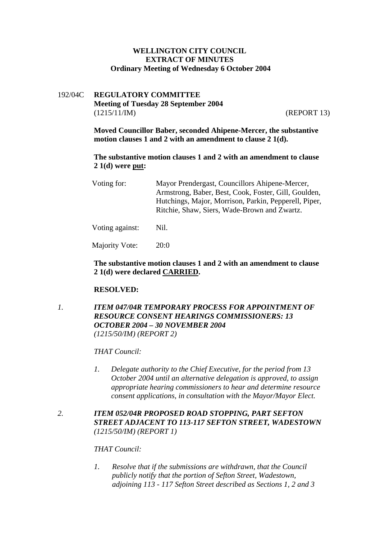# **WELLINGTON CITY COUNCIL EXTRACT OF MINUTES Ordinary Meeting of Wednesday 6 October 2004**

# 192/04C **REGULATORY COMMITTEE Meeting of Tuesday 28 September 2004**  (1215/11/IM) (REPORT 13)

**Moved Councillor Baber, seconded Ahipene-Mercer, the substantive motion clauses 1 and 2 with an amendment to clause 2 1(d).** 

**The substantive motion clauses 1 and 2 with an amendment to clause 2 1(d) were put:**

| Voting for: | Mayor Prendergast, Councillors Ahipene-Mercer,        |
|-------------|-------------------------------------------------------|
|             | Armstrong, Baber, Best, Cook, Foster, Gill, Goulden,  |
|             | Hutchings, Major, Morrison, Parkin, Pepperell, Piper, |
|             | Ritchie, Shaw, Siers, Wade-Brown and Zwartz.          |
|             |                                                       |

Voting against: Nil.

Majority Vote: 20:0

## **The substantive motion clauses 1 and 2 with an amendment to clause 2 1(d) were declared CARRIED.**

#### **RESOLVED:**

*1. ITEM 047/04R TEMPORARY PROCESS FOR APPOINTMENT OF RESOURCE CONSENT HEARINGS COMMISSIONERS: 13 OCTOBER 2004 – 30 NOVEMBER 2004 (1215/50/IM) (REPORT 2)* 

*THAT Council:* 

*1. Delegate authority to the Chief Executive, for the period from 13 October 2004 until an alternative delegation is approved, to assign appropriate hearing commissioners to hear and determine resource consent applications, in consultation with the Mayor/Mayor Elect.* 

# *2. ITEM 052/04R PROPOSED ROAD STOPPING, PART SEFTON STREET ADJACENT TO 113-117 SEFTON STREET, WADESTOWN (1215/50/IM) (REPORT 1)*

#### *THAT Council:*

*1. Resolve that if the submissions are withdrawn, that the Council publicly notify that the portion of Sefton Street, Wadestown, adjoining 113 - 117 Sefton Street described as Sections 1, 2 and 3*